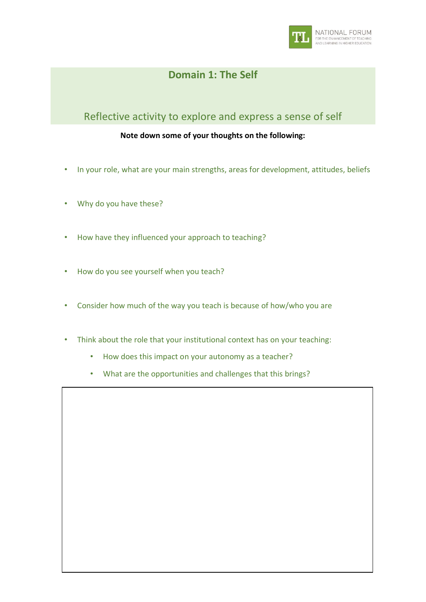

## **Domain 1: The Self**

## Reflective activity to explore and express a sense of self

## **Note down some of your thoughts on the following:**

- In your role, what are your main strengths, areas for development, attitudes, beliefs
- Why do you have these?
- How have they influenced your approach to teaching?
- How do you see yourself when you teach?
- Consider how much of the way you teach is because of how/who you are
- Think about the role that your institutional context has on your teaching:
	- How does this impact on your autonomy as a teacher?
	- What are the opportunities and challenges that this brings?